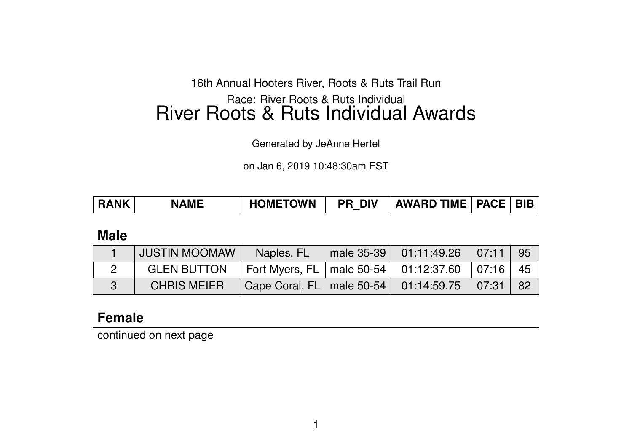#### 16th Annual Hooters River, Roots & Ruts Trail Run

# Race: River Roots & Ruts Individual River Roots & Ruts Individual Awards

Generated by JeAnne Hertel

on Jan 6, 2019 10:48:30am EST

| <b>RANK</b> | <b>NAME</b> | <b>HOMETOWN</b> | <b>DIV</b><br>PR. | <b>AWARD TIME</b> | <b>PACE</b> |  |
|-------------|-------------|-----------------|-------------------|-------------------|-------------|--|
|-------------|-------------|-----------------|-------------------|-------------------|-------------|--|

#### **Male**

| <b>JUSTIN MOOMAW</b>                                                 | Naples, FL                                             | $\parallel$ male 35-39 01:11:49.26 07:11 95 |  |
|----------------------------------------------------------------------|--------------------------------------------------------|---------------------------------------------|--|
| GLEN BUTTON   Fort Myers, FL   male 50-54   01:12:37.60   07:16   45 |                                                        |                                             |  |
| <b>CHRIS MEIER</b>                                                   | Cape Coral, FL   male 50-54   01:14:59.75   07:31   82 |                                             |  |

# **Female**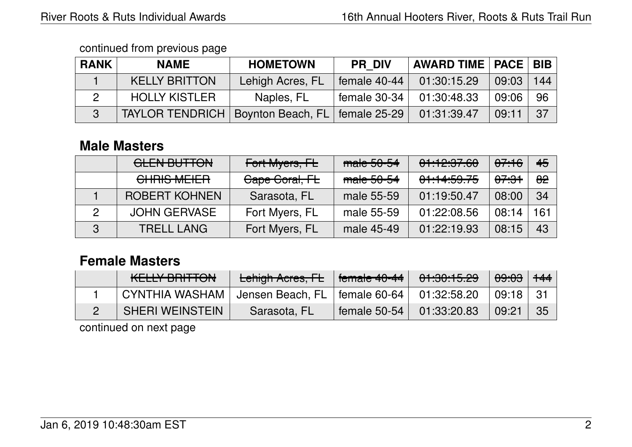| <b>RANK</b> | <b>NAME</b>            | <b>HOMETOWN</b>   | <b>PR DIV</b>  | <b>AWARD TIME   PACE   BIB</b> |       |     |
|-------------|------------------------|-------------------|----------------|--------------------------------|-------|-----|
|             | <b>KELLY BRITTON</b>   | Lehigh Acres, FL  | female 40-44   | 01:30:15.29                    | 09:03 | 144 |
|             | <b>HOLLY KISTLER</b>   | Naples, FL        | female 30-34   | 01:30:48.33                    | 09:06 | -96 |
| 3           | <b>TAYLOR TENDRICH</b> | Boynton Beach, FL | female $25-29$ | 01:31:39.47                    | 09:11 | 37  |

# **Male Masters**

|   | <b>GLEN BUTTON</b>   | Fort Myers, FL | male 50-54 | 01:12:37.60 | <del>07:16</del> | 45                    |
|---|----------------------|----------------|------------|-------------|------------------|-----------------------|
|   | CHRIS MEIER          | Cape Coral, FL | male 50-54 | 01:14:59.75 | <del>07:31</del> | $\theta$ <sup>2</sup> |
|   | <b>ROBERT KOHNEN</b> | Sarasota, FL   | male 55-59 | 01:19:50.47 | 08:00            | 34                    |
|   | <b>JOHN GERVASE</b>  | Fort Myers, FL | male 55-59 | 01:22:08.56 | 08:14            | 161                   |
| 3 | <b>TRELL LANG</b>    | Fort Myers, FL | male 45-49 | 01:22:19.93 | 08:15            | 43                    |

# **Female Masters**

| <u>IZEL LV. DDITTANI</u><br>NEELT DI 11 TUN | Lehigh Acres, FL     | female 40-44 | 01:30:15.29 | <del>09:03</del> | $+44$ |
|---------------------------------------------|----------------------|--------------|-------------|------------------|-------|
| <b>CYNTHIA WASHAM</b>                       | ' Jensen Beach, FL . | female 60-64 | 01:32:58.20 | 09:18            |       |
| <b>SHERI WEINSTEIN</b>                      | Sarasota, FL         | female 50-54 | 01:33:20.83 | 09:21            | 35    |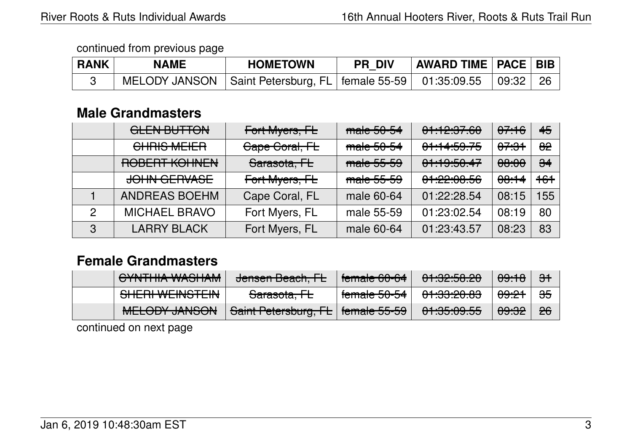| <b>RANK</b> | <b>NAME</b> | <b>HOMETOWN</b>                                                   | <b>PR DIV</b> | <b>AWARD TIME   PACE   BIB  </b> |       |      |
|-------------|-------------|-------------------------------------------------------------------|---------------|----------------------------------|-------|------|
|             |             | MELODY JANSON   Saint Petersburg, FL   female 55-59   01:35:09.55 |               |                                  | 09:32 | - 26 |

## **Male Grandmasters**

|   | <b>GLEN BUTTON</b>   | Fort Myers, FL          | male 50-54 | 01:12:37.60 | <del>07:16</del> | 45                    |
|---|----------------------|-------------------------|------------|-------------|------------------|-----------------------|
|   | CHRIS MEIER          | Cape Coral, FL          | male 50-54 | 01:14:59.75 | <del>07:31</del> | $\theta$ <sup>2</sup> |
|   | ROBERT KOHNEN        | <del>Sarasota, FL</del> | male 55-59 | 01:19:50:47 | <del>08:00</del> | $\frac{1}{24}$        |
|   | <b>JOHN GERVASE</b>  | Fort Myers, FL          | male 55-59 | 01:22:08.56 | <del>08:14</del> | $+6+$                 |
|   | <b>ANDREAS BOEHM</b> | Cape Coral, FL          | male 60-64 | 01:22:28.54 | 08:15            | 155                   |
| 2 | <b>MICHAEL BRAVO</b> | Fort Myers, FL          | male 55-59 | 01:23:02.54 | 08:19            | 80                    |
| 3 | <b>LARRY BLACK</b>   | Fort Myers, FL          | male 60-64 | 01:23:43.57 | 08:23            | 83                    |

# **Female Grandmasters**

| $Q$ VAITHIA WAQHAM<br><u>UTIVITIIA WAJHAM</u>          | Janger Desah FL<br><u>JUISUI DUAUI, IL</u>  | female CO CA<br>T <del>omaic ou-04</del>   | 0.41005000<br><del>01.02.00.20</del>   | <del>09:18</del> | $\overline{\mathbf{H}}$ |
|--------------------------------------------------------|---------------------------------------------|--------------------------------------------|----------------------------------------|------------------|-------------------------|
| <u>CLIEDI WEINICTEIN</u><br><del>UNENI WEINOTEIN</del> | $C$ oroooto $FL$<br><del>Jarasula. TE</del> | f<br>T <del>omaic JU-J4</del>              | مو مورومبهم<br><del>ण .งง.zv.oง</del>  | <del>09:21</del> | $\frac{1}{2}$           |
| MELONY IMPONE<br><b>MLLOUT JAINJUN</b>                 | Saint Petersburg, FL                        | female EE EQ<br>$\overline{1}$ דר-סכר סודו | 0.4.05,0055<br>ᠸᠸ.ᢏᠸ.ᠸᠸ. <del>ਜ਼</del> | <del>09:32</del> | 26                      |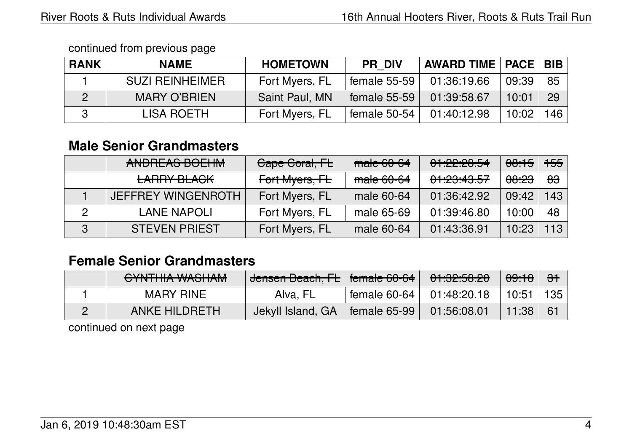| <b>RANK</b> | <b>NAME</b>            | <b>HOMETOWN</b> | <b>PR DIV</b>                            | <b>AWARD TIME   PACE   BIB</b> |       |     |
|-------------|------------------------|-----------------|------------------------------------------|--------------------------------|-------|-----|
|             | <b>SUZI REINHEIMER</b> | Fort Myers, FL  | $\frac{1}{2}$ female 55-59 $\frac{1}{2}$ | 01:36:19.66                    | 09:39 | 85  |
|             | <b>MARY O'BRIEN</b>    | Saint Paul, MN  | female 55-59                             | 01:39:58.67                    | 10:01 | 29  |
|             | LISA ROETH             | Fort Myers, FL  | female 50-54                             | 01:40:12.98                    | 10:02 | 146 |

# **Male Senior Grandmasters**

| ANDREAS BOEHM             | Cape Coral, FL | $male 60-64$ | 01:22:20.54                                    | <del>08:15</del> | <del>155</del> |
|---------------------------|----------------|--------------|------------------------------------------------|------------------|----------------|
| <b>LARRY BLACK</b>        | Fort Myers, FL | male 60-64   | <u>A A A A L T</u><br><del>ਗ਼.८ਗ਼.੧ਗ਼.ਗ਼</del> | <del>08:23</del> | <del>83</del>  |
| <b>JEFFREY WINGENROTH</b> | Fort Myers, FL | male 60-64   | 01:36:42.92                                    | 09:42            | 143            |
| <b>LANE NAPOLI</b>        | Fort Myers, FL | male 65-69   | 01:39:46.80                                    | 10:00            | 48             |
| <b>STEVEN PRIEST</b>      | Fort Myers, FL | male 60-64   | 01:43:36.91                                    | 10:23            | 113            |

# **Female Senior Grandmasters**

| <u>UTIVITIIA WAJIIAM</u> | Jensen Beach, FL   female 60-64      |                | 01:32:58.20 | <del>09:18</del> | - <del>31</del> |
|--------------------------|--------------------------------------|----------------|-------------|------------------|-----------------|
| <b>MARY RINE</b>         | Alva, FL                             | female $60-64$ | 01:48:20.18 | 10:51            | 135             |
| ANKE HILDRETH            | Jekyll Island, GA   female 65-99   I |                | 01:56:08.01 | 11:38            |                 |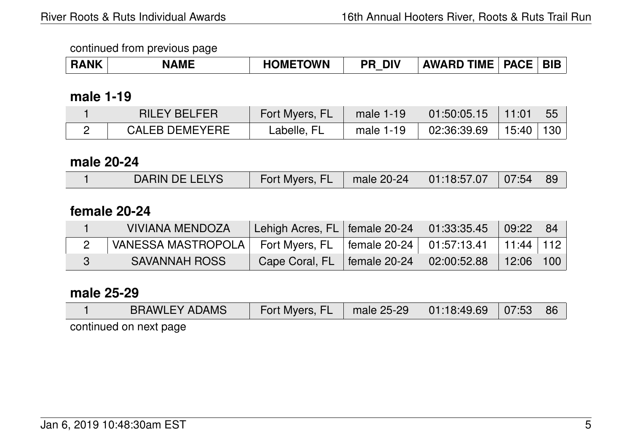| <b>HOMETOWN</b><br><b>BIB</b><br><b>PACE</b><br><b>DIV</b><br><b>TIME</b><br><b>NAME</b><br>KANK<br><b>AWARD</b><br>DC |
|------------------------------------------------------------------------------------------------------------------------|
|------------------------------------------------------------------------------------------------------------------------|

#### **male 1-19**

| <b>RILEY BELFER</b>   | Fort Myers, FL                   | male $1-19$ | 01:50:05.15 | $^{\backprime}$ 11:01 $^{\backprime}$ | 55 |
|-----------------------|----------------------------------|-------------|-------------|---------------------------------------|----|
| <b>CALEB DEMEYERE</b> | $\mathsf{\mathsf{c}}$ abelle, FL | male 1-19   | 02:36:39.69 | 15:40   130                           |    |

## **male 20-24**

| DARIN DE LELYS | Fort Myers, FL   male 20-24   01:18:57.07   07:54   89 |  |  |
|----------------|--------------------------------------------------------|--|--|
|                |                                                        |  |  |

## **female 20-24**

| VIVIANA MENDOZA      | Lehigh Acres, FL   female 20-24 |                              | 01:33:35.45 | 09:22     | -84 |
|----------------------|---------------------------------|------------------------------|-------------|-----------|-----|
| VANESSA MASTROPOLA   | Fort Myers, FL                  | female 20-24   $01:57:13.41$ |             | 11:44 112 |     |
| <b>SAVANNAH ROSS</b> | Cape Coral, FL                  | female 20-24                 | 02:00:52.88 | 12:06     | 100 |

# **male 25-29**

| <b>BRAWLEY ADAMS</b>                                                                                            | Fort Myers, FL   male 25-29   01:18:49.69   07:53   86 |  |  |
|-----------------------------------------------------------------------------------------------------------------|--------------------------------------------------------|--|--|
| the contract of the contract of the contract of the contract of the contract of the contract of the contract of |                                                        |  |  |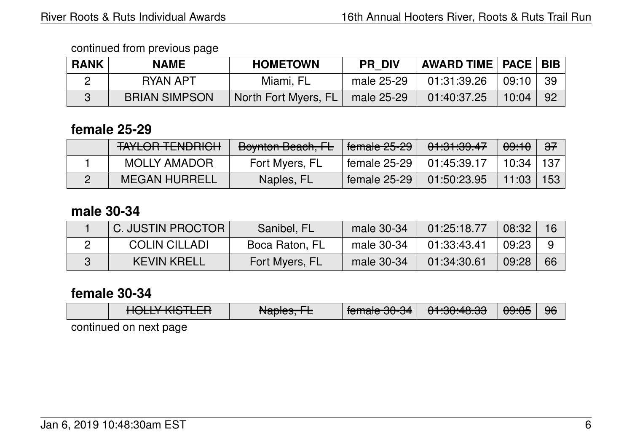| <b>RANK</b> | <b>NAME</b>          | <b>HOMETOWN</b>      | <b>PR DIV</b> | AWARD TIME   PACE   BIB |       |     |
|-------------|----------------------|----------------------|---------------|-------------------------|-------|-----|
|             | RYAN APT             | Miami, FL            | male 25-29    | 01:31:39.26             | 09:10 | -39 |
|             | <b>BRIAN SIMPSON</b> | North Fort Myers, FL | male 25-29    | 01:40:37.25             | 10:04 | 92  |

## **female 25-29**

| <b>TAYLOR TENDRICH</b> | Boynton Beach, FL | $\vert$ female 25-29       | <del>01:31:39.47</del> | <del>09:10</del> | <del>37</del> |
|------------------------|-------------------|----------------------------|------------------------|------------------|---------------|
| MOLLY AMADOR           | Fort Myers, FL    | female 25-29   01:45:39.17 |                        | 10:34            | ∣ 137 I       |
| MEGAN HURRELL          | Naples, FL        | female $25-29$             | 01:50:23.95            | 11:03            | 153           |

## **male 30-34**

| C. JUSTIN PROCTOR    | Sanibel, FL    | male 30-34   | 01:25:18.77 | 08:32 |     |
|----------------------|----------------|--------------|-------------|-------|-----|
| <b>COLIN CILLADI</b> | Boca Raton, FL | male 30-34   | 01:33:43.41 | 09:23 |     |
| <b>KEVIN KRELL</b>   | Fort Myers, FL | male $30-34$ | 01:34:30.61 | 09:28 | -66 |

## **female 30-34**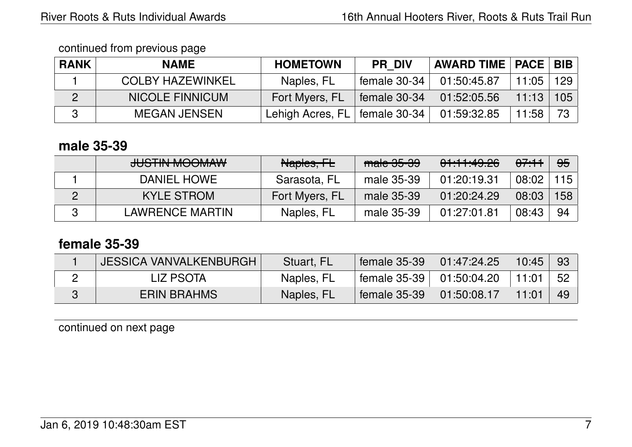| <b>RANK</b> | <b>NAME</b>             | <b>HOMETOWN</b>    | <b>PR DIV</b>  | <b>AWARD TIME   PACE   BIB  </b> |       |     |
|-------------|-------------------------|--------------------|----------------|----------------------------------|-------|-----|
|             | <b>COLBY HAZEWINKEL</b> | Naples, FL         | female $30-34$ | 01:50:45.87                      | 11:05 | 129 |
|             | <b>NICOLE FINNICUM</b>  | Fort Myers, FL     | female $30-34$ | 01:52:05.56                      | 11:13 | 105 |
|             | <b>MEGAN JENSEN</b>     | Lehigh Acres, $FL$ | female 30-34   | 01:59:32.85                      | 11:58 | 73. |

## **male 35-39**

| HICTINI MOOMMU<br><del>JUJI IN MUUNIAW</del> | Naples, FL     | $male$ 35-39 | 01:11:49.26 | 07.11 | <del>95</del> |
|----------------------------------------------|----------------|--------------|-------------|-------|---------------|
| DANIEL HOWE                                  | Sarasota, FL   | male 35-39   | 01:20:19.31 | 08:02 | 115           |
| <b>KYLE STROM</b>                            | Fort Myers, FL | male 35-39   | 01:20:24.29 | 08:03 | 158           |
| LAWRENCE MARTIN                              | Naples, FL     | male 35-39   | 01:27:01.81 | 08:43 | -94           |

# **female 35-39**

| <b>JESSICA VANVALKENBURGH</b> | Stuart, FL | female 35-39   | 01:47:24.25 | 10:45          | -93 |
|-------------------------------|------------|----------------|-------------|----------------|-----|
| LIZ PSOTA                     | Naples, FL | female $35-39$ | 01:50:04.20 | $+11:01$       | -52 |
| <b>ERIN BRAHMS</b>            | Naples, FL | female 35-39   | 01:50:08.17 | $\angle$ 11:01 | -49 |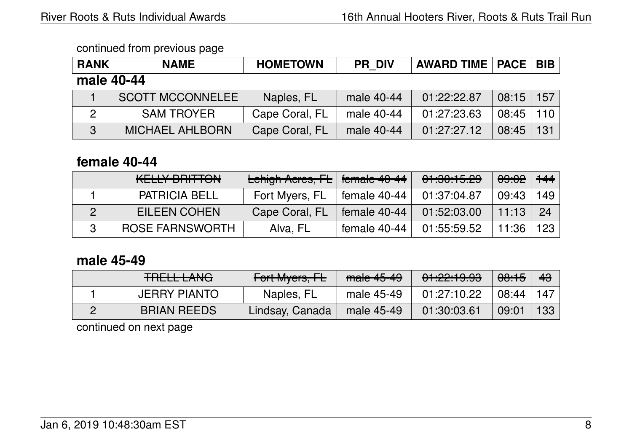| <b>RANK</b> | <b>NAME</b>             | <b>HOMETOWN</b> | <b>PR DIV</b> | <b>AWARD TIME   PACE  </b> |       | <b>BIB</b> |
|-------------|-------------------------|-----------------|---------------|----------------------------|-------|------------|
| male 40-44  |                         |                 |               |                            |       |            |
|             | <b>SCOTT MCCONNELEE</b> | Naples, FL      | male 40-44    | 01:22:22.87                | 08:15 | 157        |
| 2           | <b>SAM TROYER</b>       | Cape Coral, FL  | male 40-44    | 01:27:23.63                | 08:45 | 110        |
| 3           | <b>MICHAEL AHLBORN</b>  | Cape Coral, FL  | male 40-44    | 01:27:27.12                | 08:45 | 131        |

## **female 40-44**

| <u>IZEL LV DDITTANI</u><br>KEELT DI 11 TUN | Lehigh Acres, FL   female 40-44 |                | 01:30:15.29 | 09:02 | $+44$ |
|--------------------------------------------|---------------------------------|----------------|-------------|-------|-------|
| <b>PATRICIA BELL</b>                       | Fort Myers, FL                  | female $40-44$ | 01:37:04.87 | 09:43 | 149 l |
| EILEEN COHEN                               | Cape Coral, FL                  | female $40-44$ | 01:52:03.00 | 11:13 | 24    |
| ROSE FARNSWORTH                            | Alva, FL                        | female 40-44   | 01:55:59.52 | 11:36 | 123   |

## **male 45-49**

| <b>TOFLL LANO</b><br>TITLEL LAITU | Fort Myers, FL  | male 45-49 | 01:22:19.93 | <del>00:15</del> | 43  |
|-----------------------------------|-----------------|------------|-------------|------------------|-----|
| <b>JERRY PIANTO</b>               | Naples, FL      | male 45-49 | 01:27:10.22 | 08:44            | 147 |
| <b>BRIAN REEDS</b>                | Lindsay, Canada | male 45-49 | 01:30:03.61 | 09:01            | 133 |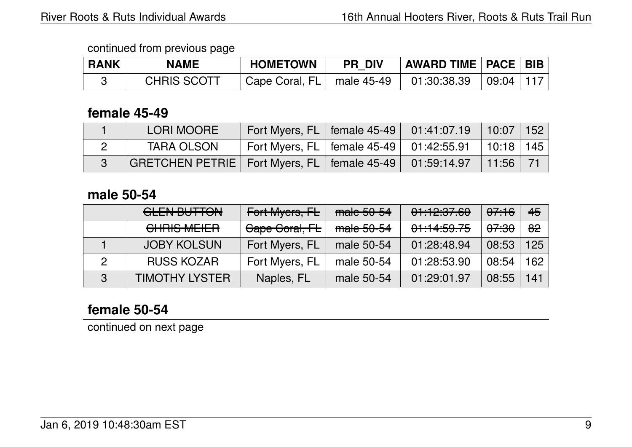| <b>RANK</b> | <b>NAME</b>        | <b>HOMETOWN</b>             | <b>PR DIV</b> | <b>AWARD TIME   PACE   BIB  </b> |           |  |
|-------------|--------------------|-----------------------------|---------------|----------------------------------|-----------|--|
|             | <b>CHRIS SCOTT</b> | Cape Coral, FL   male 45-49 |               | 01:30:38.39                      | 09:04 117 |  |

#### **female 45-49**

| LORI MOORE                                                        | Fort Myers, FL   female $45-49$   $01:41:07.19$                 |  | $10:07$   152 |  |
|-------------------------------------------------------------------|-----------------------------------------------------------------|--|---------------|--|
| <b>TARA OLSON</b>                                                 | Fort Myers, FL   female $45-49$   $01:42:55.91$   $10:18$   145 |  |               |  |
| GRETCHEN PETRIE   Fort Myers, FL   female $45-49$   $01:59:14.97$ |                                                                 |  | 11:56         |  |

## **male 50-54**

|   | <b>GLEN BUTTON</b>    | Fort Myers, FL | male 50-54 | 01:12:37.60 | <del>07:16</del> | 45  |
|---|-----------------------|----------------|------------|-------------|------------------|-----|
|   | <b>CHRIS MEIER</b>    | Gape Goral, FL | male 50-54 | 01:14:59.75 | <del>07:30</del> | 82  |
|   | <b>JOBY KOLSUN</b>    | Fort Myers, FL | male 50-54 | 01:28:48.94 | 08:53            | 125 |
|   | <b>RUSS KOZAR</b>     | Fort Myers, FL | male 50-54 | 01:28:53.90 | 08:54            | 162 |
| 3 | <b>TIMOTHY LYSTER</b> | Naples, FL     | male 50-54 | 01:29:01.97 | 08:55            | 141 |

# **female 50-54**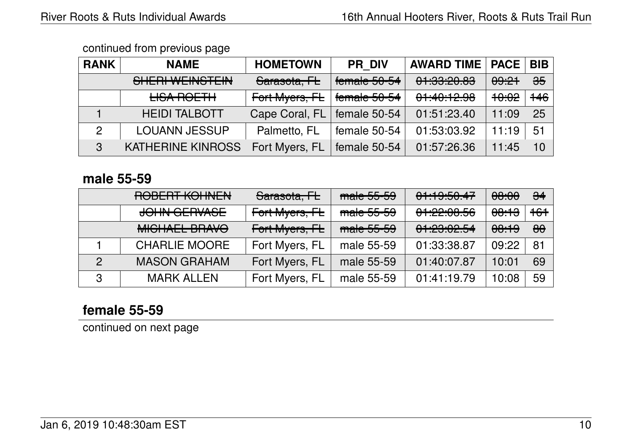| <b>RANK</b> | <b>NAME</b>                                               | <b>HOMETOWN</b> | <b>PR DIV</b> | <b>AWARD TIME   PACE</b>                 |                  | <b>BIB</b>     |
|-------------|-----------------------------------------------------------|-----------------|---------------|------------------------------------------|------------------|----------------|
|             | <b>CLIEDI WEINICTEINI</b><br><b>OTILITII VYLIIVOTLIIV</b> | Sarasota, FL    | female 50-54  | <u>םם חם פחידם</u><br><u>UT.UU.CU.UU</u> | 09:21            | $\frac{1}{25}$ |
|             | <b>LISA ROETH</b>                                         | Fort Myers, FL  | female 50-54  | 0.11011000<br><del>01.40.12.30</del>     | <del>10:02</del> | $+46$          |
|             | <b>HEIDI TALBOTT</b>                                      | Cape Coral, FL  | female 50-54  | 01:51:23.40                              | 11:09            | 25             |
| 2           | <b>LOUANN JESSUP</b>                                      | Palmetto, FL    | female 50-54  | 01:53:03.92                              | 11:19            | 51             |
| 3           | <b>KATHERINE KINROSS</b>                                  | Fort Myers, FL  | female 50-54  | 01:57:26.36                              | 11:45            | 10             |

#### **male 55-59**

|               | DODEDT VOLINENI<br><b>NUPLIT NUMBER</b>  | Sarasota, FL   | male 55-59 | 01:19:50.47                         | <del>08:00</del> | $\frac{1}{24}$ |
|---------------|------------------------------------------|----------------|------------|-------------------------------------|------------------|----------------|
|               | <b>JOHN GERVASE</b>                      | Fort Myers, FL | male 55-59 | 0.1000000<br><u>UT.CC.UU.JU</u>     | <del>08:13</del> | $+6+$          |
|               | MICULATI DDAVA<br><b>MIDITALL DITAVO</b> | Fort Myers, FL | male 55-59 | 0.10000004<br><b>UT. LU. UL. UT</b> | <del>08:19</del> | $\theta\theta$ |
|               | <b>CHARLIE MOORE</b>                     | Fort Myers, FL | male 55-59 | 01:33:38.87                         | 09:22            | 81             |
| $\mathcal{P}$ | <b>MASON GRAHAM</b>                      | Fort Myers, FL | male 55-59 | 01:40:07.87                         | 10:01            | 69             |
| 3             | <b>MARK ALLEN</b>                        | Fort Myers, FL | male 55-59 | 01:41:19.79                         | 10:08            | 59             |

## **female 55-59**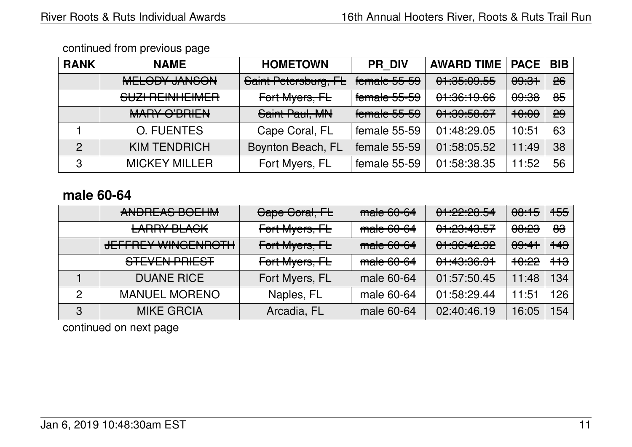| <b>RANK</b>    | <b>NAME</b>                                               | <b>HOMETOWN</b>      | <b>PR DIV</b>                         | <b>AWARD TIME</b>                   | <b>PACE</b>      | <b>BIB</b> |
|----------------|-----------------------------------------------------------|----------------------|---------------------------------------|-------------------------------------|------------------|------------|
|                | MELONI IMICOM<br><b>MELOPT JANJON</b>                     | Saint Petersburg, FL | $f$ amala $FE$ $EQ$<br>TUTTIQIU JJ-JJ | 0.1.05,005E<br><del>un.uu.uu</del>  | <del>09:31</del> | 26         |
|                | <u>CLIZI DEINILIEIMED</u><br><u>JUZITILIINI ILIIVILII</u> | Fort Myers, FL       | female 55-59                          | 0.100, 1000<br><del>un.uu.nuu</del> | <del>09:38</del> | $\theta$ 5 |
|                | <b>MADV O'DDILNI</b><br><b>MATTLO DETENT</b>              | Saint Paul, MN       | female 55-59                          | 0.100502<br><del>01.03.00.07</del>  | <del>10:00</del> | 29         |
|                | <b>O. FUENTES</b>                                         | Cape Coral, FL       | female 55-59                          | 01:48:29.05                         | 10:51            | 63         |
| $\overline{2}$ | <b>KIM TENDRICH</b>                                       | Boynton Beach, FL    | female 55-59                          | 01:58:05.52                         | 11:49            | 38         |
| 3              | <b>MICKEY MILLER</b>                                      | Fort Myers, FL       | female 55-59                          | 01:58:38.35                         | 11:52            | 56         |

# **male 60-64**

|   | ANDDEAC DOFIIM<br><b>ANDITLAY DULLINI</b>                   | Cape Coral, FL | male 60-64 | 0.10000004<br><b>VT.44.40.JT</b>             | 08:15            | <del>155</del> |
|---|-------------------------------------------------------------|----------------|------------|----------------------------------------------|------------------|----------------|
|   | <b>LARRY BLACK</b>                                          | Fort Myers, FL | male 60-64 | <u>01.00.10 EZ</u><br><del>01.20.40.07</del> | <del>08:23</del> | <del>83</del>  |
|   | <b>JEFFREY WINGENROTH</b>                                   | Fort Myers, FL | male 60-64 | 0.100(10,0)<br><del>01.00.42.32</del>        | <del>09:41</del> | <del>143</del> |
|   | <u>CTEVENLODIECT</u><br>$\sigma$ is the vertice of $\sigma$ | Fort Myers, FL | male 60-64 | 0.1100001<br><del>ᠧᠷᡡᠷᡆ</del> ᡳᡵ᠇ᠣ           | <del>10:22</del> | <del>113</del> |
|   | <b>DUANE RICE</b>                                           | Fort Myers, FL | male 60-64 | 01:57:50.45                                  | 11:48            | 134            |
| 2 | <b>MANUEL MORENO</b>                                        | Naples, FL     | male 60-64 | 01:58:29.44                                  | 11:51            | 126            |
| 3 | <b>MIKE GRCIA</b>                                           | Arcadia, FL    | male 60-64 | 02:40:46.19                                  | 16:05            | 154            |